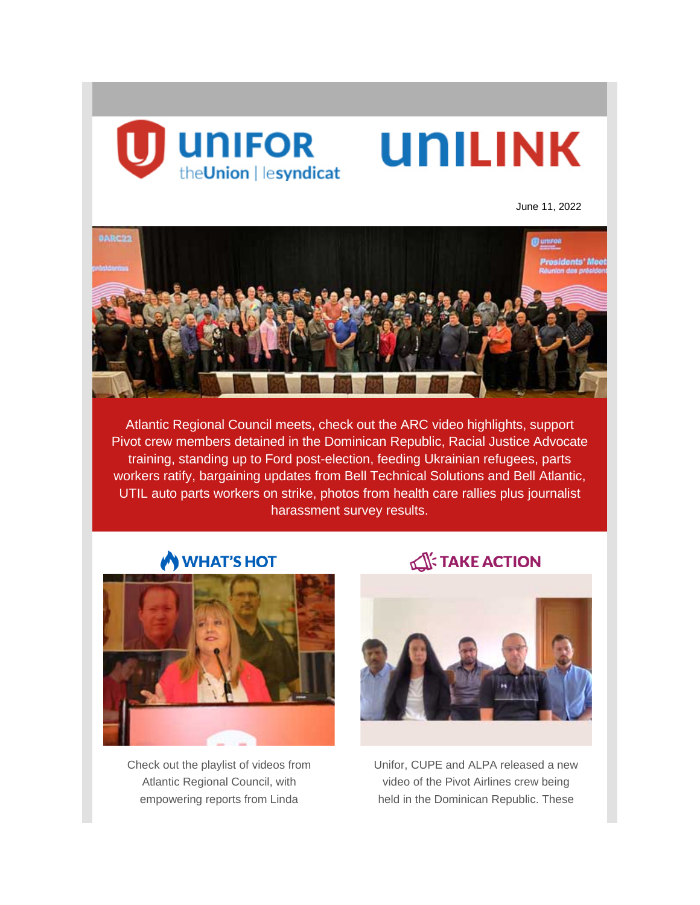

June 11, 2022



Atlantic Regional Council meets, check out the ARC video highlights, support Pivot crew members detained in the Dominican Republic, Racial Justice Advocate training, standing up to Ford post-election, feeding Ukrainian refugees, parts workers ratify, bargaining updates from Bell Technical Solutions and Bell Atlantic, UTIL auto parts workers on strike, photos from health care rallies plus journalist harassment survey results.

# **WHAT'S HOT**



Check out the playlist of videos from Atlantic Regional Council, with empowering reports from Linda

# **TAKE ACTION**



Unifor, CUPE and ALPA released a new video of the Pivot Airlines crew being held in the Dominican Republic. These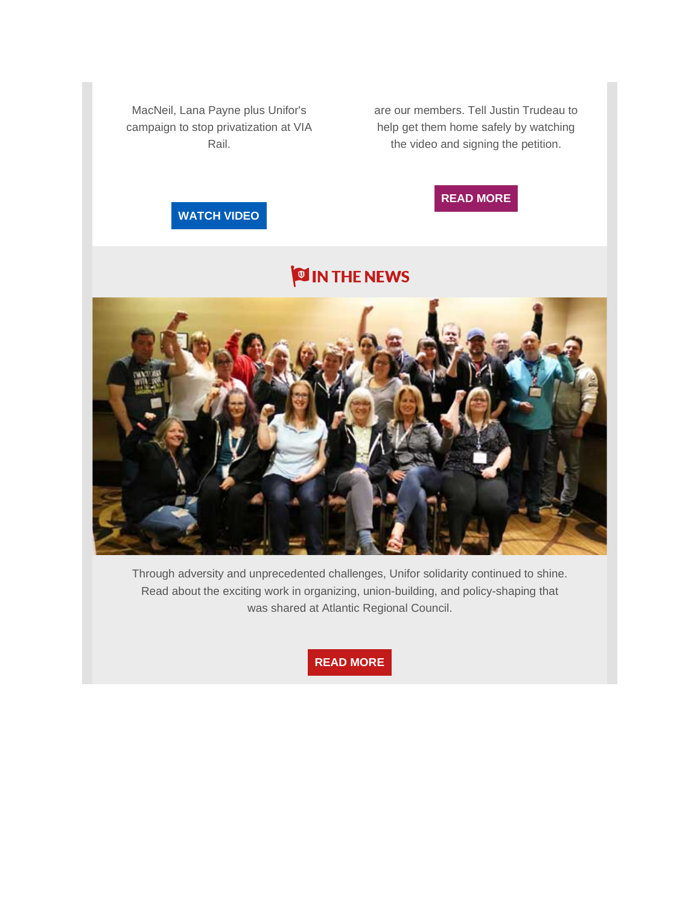MacNeil, Lana Payne plus Unifor's campaign to stop privatization at VIA Rail.

are our members. Tell Justin Trudeau to help get them home safely by watching the video and signing the petition.



# **[WATCH](https://www.facebook.com/watch/100066231863246/386010260232635) VIDEO**

# **OIN THE NEWS**



Through adversity and unprecedented challenges, Unifor solidarity continued to shine. Read about the exciting work in organizing, union-building, and policy-shaping that was shared at Atlantic Regional Council.

**READ [MORE](https://www.unifor.org/news/all-news/union-solidarity-shines-atlantic-regional-council)**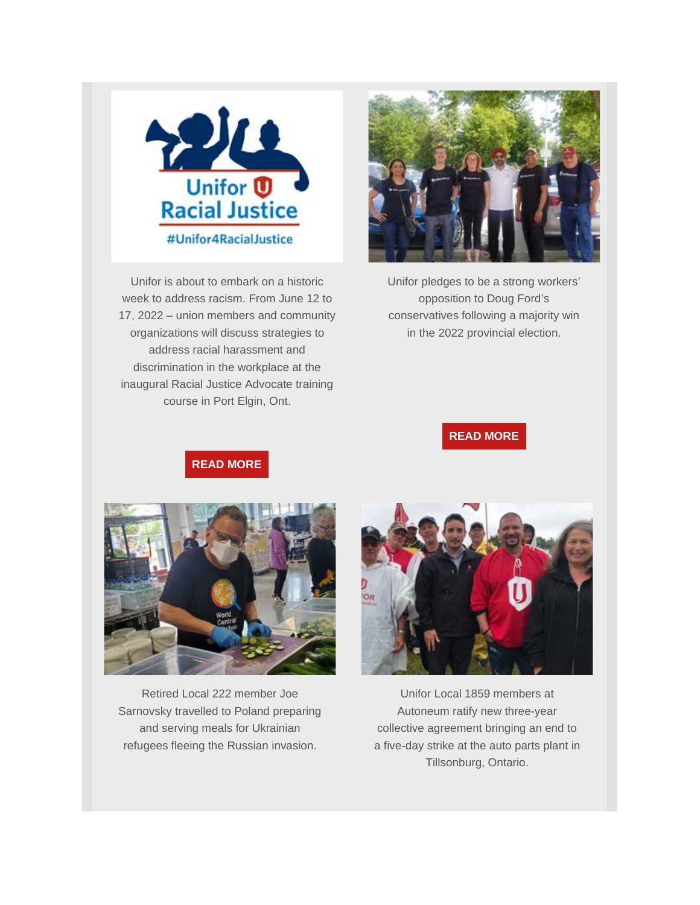

Unifor is about to embark on a historic week to address racism. From June 12 to 17, 2022 – union members and community organizations will discuss strategies to address racial harassment and discrimination in the workplace at the inaugural Racial Justice Advocate training course in Port Elgin, Ont.



Unifor pledges to be a strong workers' opposition to Doug Ford's conservatives following a majority win in the 2022 provincial election.

### **READ [MORE](https://www.unifor.org/news/all-news/unifor-urges-members-keep-fight-after-second-ford-majority-win)**

**READ [MORE](https://www.unifor.org/news/all-news/historic-racial-justice-training-leads-biwoc-conference)**



Retired Local 222 member Joe Sarnovsky travelled to Poland preparing and serving meals for Ukrainian refugees fleeing the Russian invasion.



Unifor Local 1859 members at Autoneum ratify new three-year collective agreement bringing an end to a five-day strike at the auto parts plant in Tillsonburg, Ontario.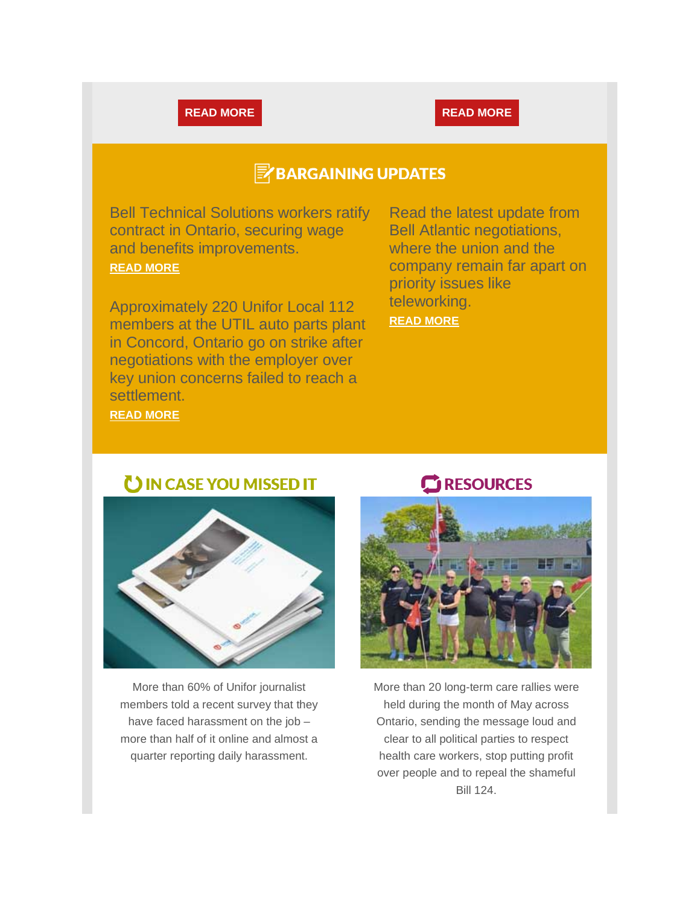### **READ [MORE](https://www.unifor.org/news/all-news/unifor-members-autoneum-ratify-agreement-ending-strike) READ MORE**

# **E** BARGAINING UPDATES

Bell Technical Solutions workers ratify contract in Ontario, securing wage and benefits improvements. **[READ MORE](https://www.unifor.org/news/all-news/bell-technical-solutions-workers-ratify-contract-securing-wage-and-benefits)**

Approximately 220 Unifor Local 112 members at the UTIL auto parts plant in Concord, Ontario go on strike after negotiations with the employer over key union concerns failed to reach a settlement.

Read the latest update from Bell Atlantic negotiations, where the union and the company remain far apart on priority issues like teleworking.

**[READ MORE](https://www.unifor.org/news/all-news/bell-atlantic-bargaining-bulletin-update-7)**

**[READ MORE](https://www.unifor.org/news/all-news/auto-parts-workers-strike-util-canada-ltd)**



UIN CASE YOU MISSED IT

More than 60% of Unifor journalist members told a recent survey that they have faced harassment on the job – more than half of it online and almost a quarter reporting daily harassment.

### **RESOURCES**



More than 20 long-term care rallies were held during the month of May across Ontario, sending the message loud and clear to all political parties to respect health care workers, stop putting profit over people and to repeal the shameful Bill 124.